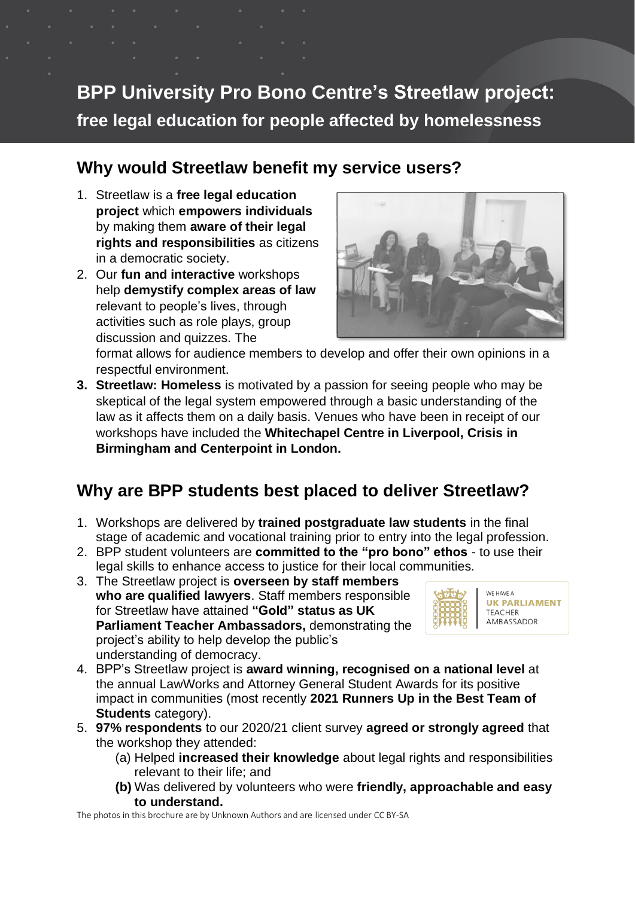**BPP University Pro Bono Centre's Streetlaw project: free legal education for people affected by homelessness**

### **Why would Streetlaw benefit my service users?**

- 1. Streetlaw is a **free legal education project** which **empowers individuals** by making them **aware of their legal rights and responsibilities** as citizens in a democratic society.
- 2. Our **fun and interactive** workshops help **demystify complex areas of law** relevant to people's lives, through activities such as role plays, group discussion and quizzes. The



format allows for audience members to develop and offer their own opinions in a respectful environment.

**3. Streetlaw: Homeless** is motivated by a passion for seeing people who may be skeptical of the legal system empowered through a basic understanding of the law as it affects them on a daily basis. Venues who have been in receipt of our workshops have included the **Whitechapel Centre in Liverpool, Crisis in Birmingham and Centerpoint in London.**

# **Why are BPP students best placed to deliver Streetlaw?**

- 1. Workshops are delivered by **trained postgraduate law students** in the final stage of academic and vocational training prior to entry into the legal profession.
- 2. BPP student volunteers are **committed to the "pro bono" ethos** to use their legal skills to enhance access to justice for their local communities.
- 3. The Streetlaw project is **overseen by staff members who are qualified lawyers**. Staff members responsible for Streetlaw have attained **"Gold" status as UK Parliament Teacher Ambassadors,** demonstrating the project's ability to help develop the public's understanding of democracy.



- 4. BPP's Streetlaw project is **award winning, recognised on a national level** at the annual LawWorks and Attorney General Student Awards for its positive impact in communities (most recently **2021 Runners Up in the Best Team of Students** category).
- 5. **97% respondents** to our 2020/21 client survey **agreed or strongly agreed** that the workshop they attended:
	- (a) Helped **increased their knowledge** about legal rights and responsibilities relevant to their life; and
	- **(b)** Was delivered by volunteers who were **friendly, approachable and easy to understand.**

The photos in this brochure are by Unknown Authors and are licensed unde[r CC BY-](https://creativecommons.org/licenses/by/3.0/)SA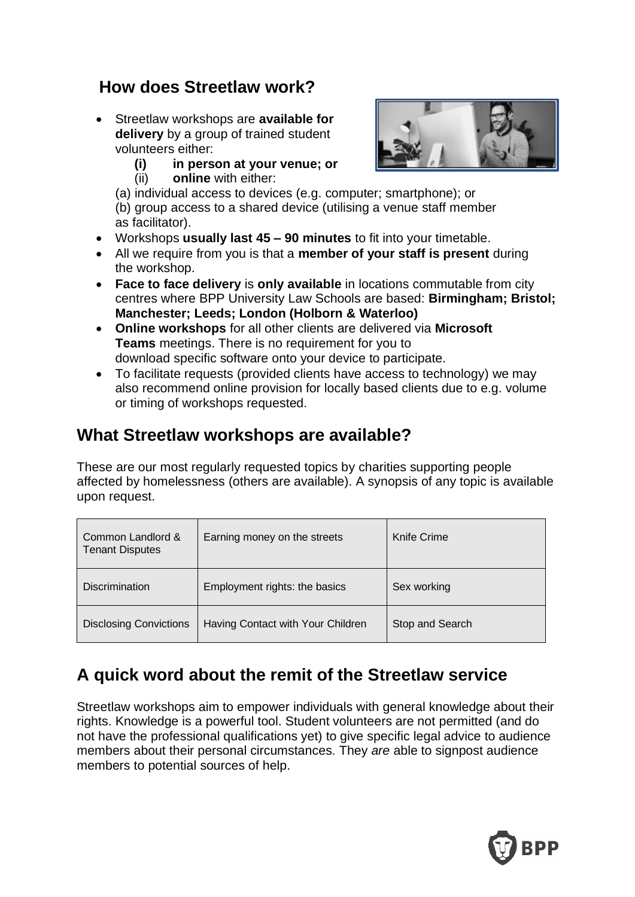### **How does Streetlaw work?**

- Streetlaw workshops are **available for delivery** by a group of trained student volunteers either:
	- **(i) in person at your venue; or**
	- (ii) **online** with either:



- (a) individual access to devices (e.g. computer; smartphone); or (b) group access to a shared device (utilising a venue staff member as facilitator).
- Workshops **usually last 45 – 90 minutes** to fit into your timetable.
- All we require from you is that a **member of your staff is present** during the workshop.
- **Face to face delivery** is **only available** in locations commutable from city centres where BPP University Law Schools are based: **Birmingham; Bristol; Manchester; Leeds; London (Holborn & Waterloo)**
- **Online workshops** for all other clients are delivered via **Microsoft Teams** meetings. There is no requirement for you to download specific software onto your device to participate.
- To facilitate requests (provided clients have access to technology) we may also recommend online provision for locally based clients due to e.g. volume or timing of workshops requested.

## **What Streetlaw workshops are available?**

These are our most regularly requested topics by charities supporting people affected by homelessness (others are available). A synopsis of any topic is available upon request.

| Common Landlord &<br><b>Tenant Disputes</b> | Earning money on the streets      | Knife Crime     |
|---------------------------------------------|-----------------------------------|-----------------|
| <b>Discrimination</b>                       | Employment rights: the basics     | Sex working     |
| <b>Disclosing Convictions</b>               | Having Contact with Your Children | Stop and Search |

## **A quick word about the remit of the Streetlaw service**

Streetlaw workshops aim to empower individuals with general knowledge about their rights. Knowledge is a powerful tool. Student volunteers are not permitted (and do not have the professional qualifications yet) to give specific legal advice to audience members about their personal circumstances. They *are* able to signpost audience members to potential sources of help.